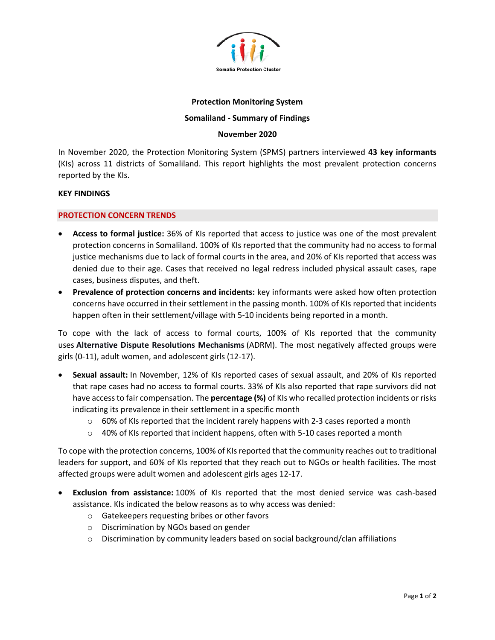

## **Protection Monitoring System Somaliland - Summary of Findings November 2020**

In November 2020, the Protection Monitoring System (SPMS) partners interviewed **43 key informants** (KIs) across 11 districts of Somaliland. This report highlights the most prevalent protection concerns reported by the KIs.

## **KEY FINDINGS**

## **PROTECTION CONCERN TRENDS**

- **Access to formal justice:** 36% of KIs reported that access to justice was one of the most prevalent protection concerns in Somaliland. 100% of KIs reported that the community had no access to formal justice mechanisms due to lack of formal courts in the area, and 20% of KIs reported that access was denied due to their age. Cases that received no legal redress included physical assault cases, rape cases, business disputes, and theft.
- **Prevalence of protection concerns and incidents:** key informants were asked how often protection concerns have occurred in their settlement in the passing month. 100% of KIs reported that incidents happen often in their settlement/village with 5-10 incidents being reported in a month.

To cope with the lack of access to formal courts, 100% of KIs reported that the community uses **Alternative Dispute Resolutions Mechanisms** (ADRM). The most negatively affected groups were girls (0-11), adult women, and adolescent girls (12-17).

- **Sexual assault:** In November, 12% of KIs reported cases of sexual assault, and 20% of KIs reported that rape cases had no access to formal courts. 33% of KIs also reported that rape survivors did not have access to fair compensation. The **percentage (%)** of KIs who recalled protection incidents or risks indicating its prevalence in their settlement in a specific month
	- $\circ$  60% of KIs reported that the incident rarely happens with 2-3 cases reported a month
	- $\circ$  40% of KIs reported that incident happens, often with 5-10 cases reported a month

To cope with the protection concerns, 100% of KIs reported that the community reaches out to traditional leaders for support, and 60% of KIs reported that they reach out to NGOs or health facilities. The most affected groups were adult women and adolescent girls ages 12-17.

- **Exclusion from assistance:** 100% of KIs reported that the most denied service was cash-based assistance. KIs indicated the below reasons as to why access was denied:
	- o Gatekeepers requesting bribes or other favors
	- o Discrimination by NGOs based on gender
	- $\circ$  Discrimination by community leaders based on social background/clan affiliations